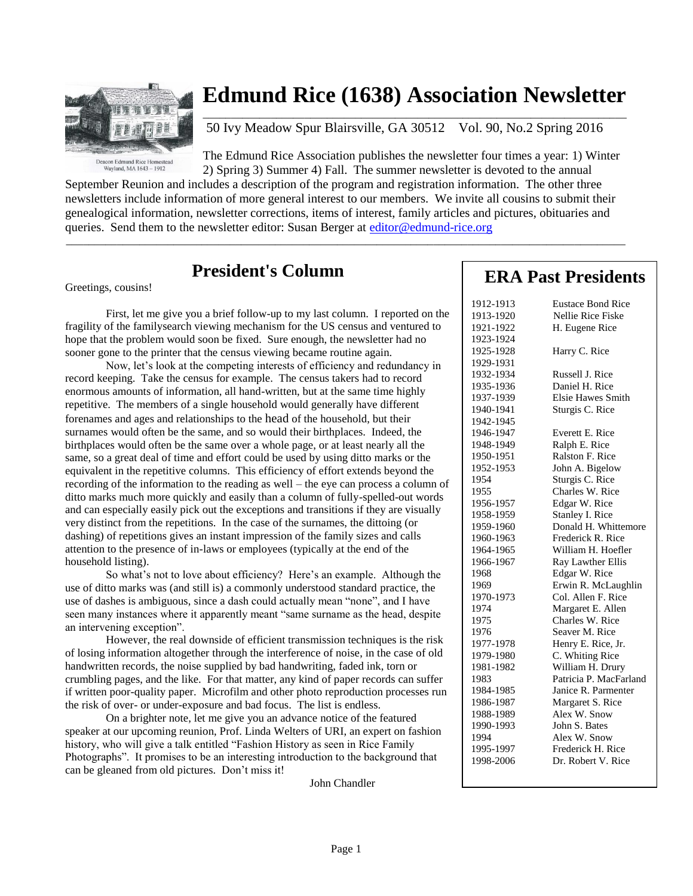

### **Edmund Rice (1638) Association Newsletter**  $\mathcal{L}_\text{max}$  , and the set of the set of the set of the set of the set of the set of the set of the set of the set of the set of the set of the set of the set of the set of the set of the set of the set of the set of the

50 Ivy Meadow Spur Blairsville, GA 30512 Vol. 90, No.2 Spring 2016

The Edmund Rice Association publishes the newsletter four times a year: 1) Winter 2) Spring 3) Summer 4) Fall. The summer newsletter is devoted to the annual

September Reunion and includes a description of the program and registration information. The other three newsletters include information of more general interest to our members. We invite all cousins to submit their genealogical information, newsletter corrections, items of interest, family articles and pictures, obituaries and queries. Send them to the newsletter editor: Susan Berger at [editor@edmund-rice.org](mailto:editor@edmund-rice.org)

 $\_$  , and the set of the set of the set of the set of the set of the set of the set of the set of the set of the set of the set of the set of the set of the set of the set of the set of the set of the set of the set of th

### **President's Column**

Greetings, cousins!

First, let me give you a brief follow-up to my last column. I reported on the fragility of the familysearch viewing mechanism for the US census and ventured to hope that the problem would soon be fixed. Sure enough, the newsletter had no sooner gone to the printer that the census viewing became routine again.

Now, let's look at the competing interests of efficiency and redundancy in record keeping. Take the census for example. The census takers had to record enormous amounts of information, all hand-written, but at the same time highly repetitive. The members of a single household would generally have different forenames and ages and relationships to the head of the household, but their surnames would often be the same, and so would their birthplaces. Indeed, the birthplaces would often be the same over a whole page, or at least nearly all the same, so a great deal of time and effort could be used by using ditto marks or the equivalent in the repetitive columns. This efficiency of effort extends beyond the recording of the information to the reading as well – the eye can process a column of ditto marks much more quickly and easily than a column of fully-spelled-out words and can especially easily pick out the exceptions and transitions if they are visually very distinct from the repetitions. In the case of the surnames, the dittoing (or dashing) of repetitions gives an instant impression of the family sizes and calls attention to the presence of in-laws or employees (typically at the end of the household listing).

So what's not to love about efficiency? Here's an example. Although the use of ditto marks was (and still is) a commonly understood standard practice, the use of dashes is ambiguous, since a dash could actually mean "none", and I have seen many instances where it apparently meant "same surname as the head, despite an intervening exception".

However, the real downside of efficient transmission techniques is the risk of losing information altogether through the interference of noise, in the case of old handwritten records, the noise supplied by bad handwriting, faded ink, torn or crumbling pages, and the like. For that matter, any kind of paper records can suffer if written poor-quality paper. Microfilm and other photo reproduction processes run the risk of over- or under-exposure and bad focus. The list is endless.

On a brighter note, let me give you an advance notice of the featured speaker at our upcoming reunion, Prof. Linda Welters of URI, an expert on fashion history, who will give a talk entitled "Fashion History as seen in Rice Family Photographs". It promises to be an interesting introduction to the background that can be gleaned from old pictures. Don't miss it!

John Chandler

# **ERA Past Presidents**

| 1912-1913 | <b>Eustace Bond Rice</b> |  |  |
|-----------|--------------------------|--|--|
| 1913-1920 | Nellie Rice Fiske        |  |  |
| 1921-1922 | H. Eugene Rice           |  |  |
| 1923-1924 |                          |  |  |
| 1925-1928 | Harry C. Rice            |  |  |
| 1929-1931 |                          |  |  |
| 1932-1934 | Russell J. Rice          |  |  |
| 1935-1936 | Daniel H. Rice           |  |  |
| 1937-1939 | <b>Elsie Hawes Smith</b> |  |  |
| 1940-1941 | Sturgis C. Rice          |  |  |
| 1942-1945 |                          |  |  |
| 1946-1947 | Everett E. Rice          |  |  |
| 1948-1949 | Ralph E. Rice            |  |  |
| 1950-1951 | Ralston F. Rice          |  |  |
| 1952-1953 | John A. Bigelow          |  |  |
| 1954      | Sturgis C. Rice          |  |  |
| 1955      | Charles W. Rice          |  |  |
| 1956-1957 | Edgar W. Rice            |  |  |
| 1958-1959 | Stanley I. Rice          |  |  |
| 1959-1960 | Donald H. Whittemore     |  |  |
| 1960-1963 | Frederick R. Rice        |  |  |
| 1964-1965 | William H. Hoefler       |  |  |
| 1966-1967 | Ray Lawther Ellis        |  |  |
| 1968      | Edgar W. Rice            |  |  |
| 1969      | Erwin R. McLaughlin      |  |  |
| 1970-1973 | Col. Allen F. Rice       |  |  |
| 1974      | Margaret E. Allen        |  |  |
| 1975      | Charles W. Rice          |  |  |
| 1976      | Seaver M. Rice           |  |  |
| 1977-1978 | Henry E. Rice, Jr.       |  |  |
| 1979-1980 | C. Whiting Rice          |  |  |
| 1981-1982 | William H. Drury         |  |  |
| 1983      | Patricia P. MacFarland   |  |  |
| 1984-1985 | Janice R. Parmenter      |  |  |
| 1986-1987 | Margaret S. Rice         |  |  |
| 1988-1989 | Alex W. Snow             |  |  |
| 1990-1993 | John S. Bates            |  |  |
| 1994      | Alex W. Snow             |  |  |
| 1995-1997 | Frederick H. Rice        |  |  |
| 1998-2006 | Dr. Robert V. Rice       |  |  |
|           |                          |  |  |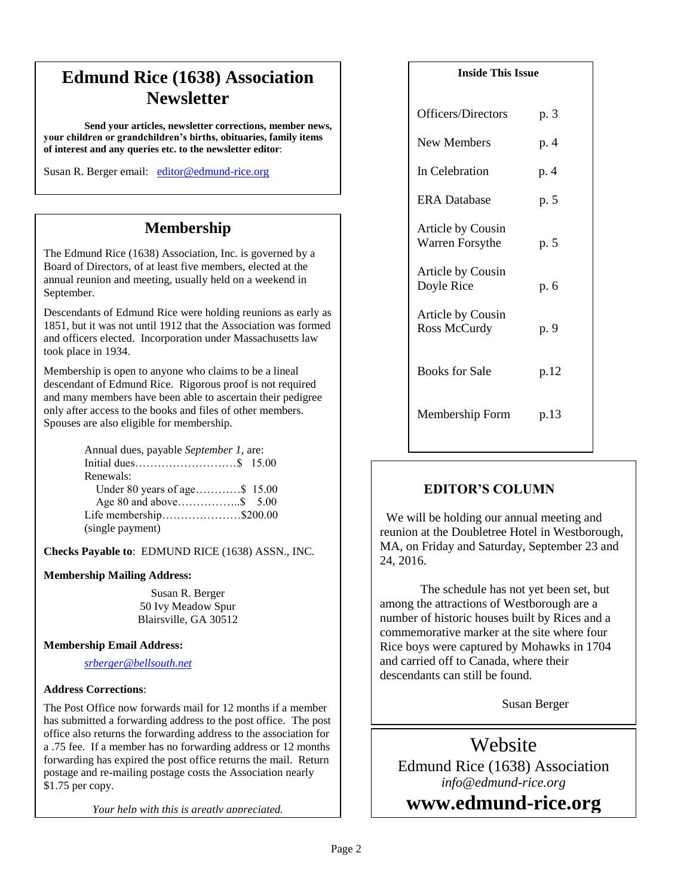# **Edmund Rice (1638) Association Newsletter**

**Send your articles, newsletter corrections, member news, your children or grandchildren's births, obituaries, family items of interest and any queries etc. to the newsletter editor**:

Susan R. Berger email: [editor@edmund-rice.org](mailto:editor@edmund-rice.org)

## **Membership**

The Edmund Rice (1638) Association, Inc. is governed by a Board of Directors, of at least five members, elected at the annual reunion and meeting, usually held on a weekend in September.

Descendants of Edmund Rice were holding reunions as early as 1851, but it was not until 1912 that the Association was formed and officers elected. Incorporation under Massachusetts law took place in 1934.

Membership is open to anyone who claims to be a lineal descendant of Edmund Rice. Rigorous proof is not required and many members have been able to ascertain their pedigree only after access to the books and files of other members. Spouses are also eligible for membership.

| Annual dues, payable September 1, are: |  |
|----------------------------------------|--|
|                                        |  |
| Renewals:                              |  |
| Under 80 years of age\$ 15.00          |  |
|                                        |  |
| Life membership\$200.00                |  |
| (single payment)                       |  |

**Checks Payable to**: EDMUND RICE (1638) ASSN., INC.

#### **Membership Mailing Address:**

Susan R. Berger 50 Ivy Meadow Spur Blairsville, GA 30512

#### **Membership Email Address:**

*[srberger@bellsouth.net](mailto:srberger@bellsouth.net)*

#### **Address Corrections**:

The Post Office now forwards mail for 12 months if a member has submitted a forwarding address to the post office. The post office also returns the forwarding address to the association for a .75 fee. If a member has no forwarding address or 12 months forwarding has expired the post office returns the mail. Return postage and re-mailing postage costs the Association nearly \$1.75 per copy.

*Your help with this is greatly appreciated.*

#### **Inside This Issue**

| Officers/Directors                          | p. 3 |
|---------------------------------------------|------|
| New Members                                 | p. 4 |
| In Celebration                              | p. 4 |
| <b>ERA</b> Database                         | p. 5 |
| <b>Article by Cousin</b><br>Warren Forsythe | p. 5 |
| Article by Cousin<br>Doyle Rice             | p. 6 |
| Article by Cousin<br>Ross McCurdy           | p. 9 |
| <b>Books for Sale</b>                       | p.12 |
| Membership Form                             | p.13 |

#### **EDITOR'S COLUMN**

 We will be holding our annual meeting and reunion at the Doubletree Hotel in Westborough, MA, on Friday and Saturday, September 23 and 24, 2016.

The schedule has not yet been set, but among the attractions of Westborough are a number of historic houses built by Rices and a commemorative marker at the site where four Rice boys were captured by Mohawks in 1704 and carried off to Canada, where their descendants can still be found.

Susan Berger

Edmund Rice (1638) Association Website *info@edmund-rice.org*

**2014 - 2015 Officers www.edmund-rice.org**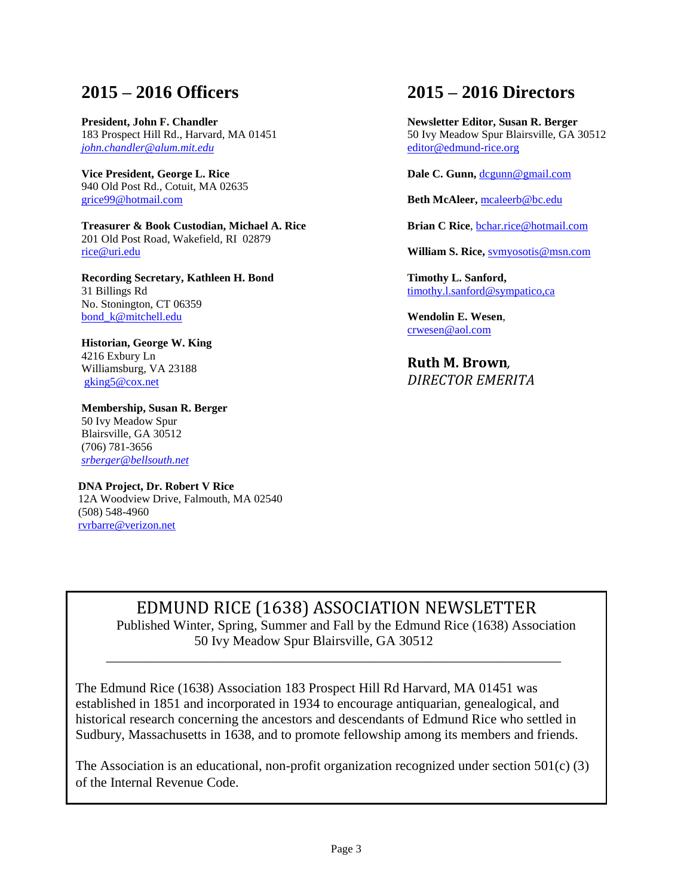# **2015 – 2016 Officers**

**President, John F. Chandler** 183 Prospect Hill Rd., Harvard, MA 01451 *[john.chandler@alum.mit.edu](mailto:john.chandler@alum.mit.edu)*

**Vice President, George L. Rice** 940 Old Post Rd., Cotuit, MA 02635 [grice99@hotmail.com](mailto:grice99@hotmail.com)

**Treasurer & Book Custodian, Michael A. Rice** 201 Old Post Road, Wakefield, RI 02879 [rice@uri.edu](mailto:rice@uri.edu)

**Recording Secretary, Kathleen H. Bond** 31 Billings Rd No. Stonington, CT 06359 [bond\\_k@mitchell.edu](mailto:bond_k@mitchell.edu)

**Historian, George W. King** 4216 Exbury Ln Williamsburg, VA 23188 [gking5@cox.net](mailto:gking5@cox.net)

**Membership, Susan R. Berger** 50 Ivy Meadow Spur Blairsville, GA 30512 (706) 781-3656 *[srberger@bellsouth.net](mailto:srberger@bellsouth.net)*

 **DNA Project, Dr. Robert V Rice** 12A Woodview Drive, Falmouth, MA 02540 (508) 548-4960 [rvrbarre@verizon.net](mailto:rvrbarre@verizon.net)

# **2015 – 2016 Directors**

**Newsletter Editor, Susan R. Berger** 50 Ivy Meadow Spur Blairsville, GA 30512 [editor@edmund-rice.org](mailto:editor@edmund-rice.org)

Dale C. Gunn, [dcgunn@gmail.com](mailto:dcgunn@gmail.com)

**Beth McAleer,** [mcaleerb@bc.edu](mailto:mcaleerb@bc.edu)

**Brian C Rice**, [bchar.rice@hotmail.com](mailto:bchar.rice@hotmail.com)

**William S. Rice,** [svmyosotis@msn.com](mailto:svmyosotis@msn.com)

**Timothy L. Sanford,** [timothy.l.sanford@sympatico,ca](mailto:timothy.l.sanford@sympatico,ca)

**Wendolin E. Wesen**, [crwesen@aol.com](mailto:crwesen@aol.com)

**Ruth M. Brown***, DIRECTOR EMERITA*

## EDMUND RICE (1638) ASSOCIATION NEWSLETTER

Published Winter, Spring, Summer and Fall by the Edmund Rice (1638) Association 50 Ivy Meadow Spur Blairsville, GA 30512

The Edmund Rice (1638) Association 183 Prospect Hill Rd Harvard, MA 01451 was established in 1851 and incorporated in 1934 to encourage antiquarian, genealogical, and historical research concerning the ancestors and descendants of Edmund Rice who settled in Sudbury, Massachusetts in 1638, and to promote fellowship among its members and friends.

 $\overline{\phantom{a}}$  ,  $\overline{\phantom{a}}$  ,  $\overline{\phantom{a}}$  ,  $\overline{\phantom{a}}$  ,  $\overline{\phantom{a}}$  ,  $\overline{\phantom{a}}$  ,  $\overline{\phantom{a}}$  ,  $\overline{\phantom{a}}$  ,  $\overline{\phantom{a}}$  ,  $\overline{\phantom{a}}$  ,  $\overline{\phantom{a}}$  ,  $\overline{\phantom{a}}$  ,  $\overline{\phantom{a}}$  ,  $\overline{\phantom{a}}$  ,  $\overline{\phantom{a}}$  ,  $\overline{\phantom{a}}$ 

The Association is an educational, non-profit organization recognized under section  $501(c)$  (3) of the Internal Revenue Code.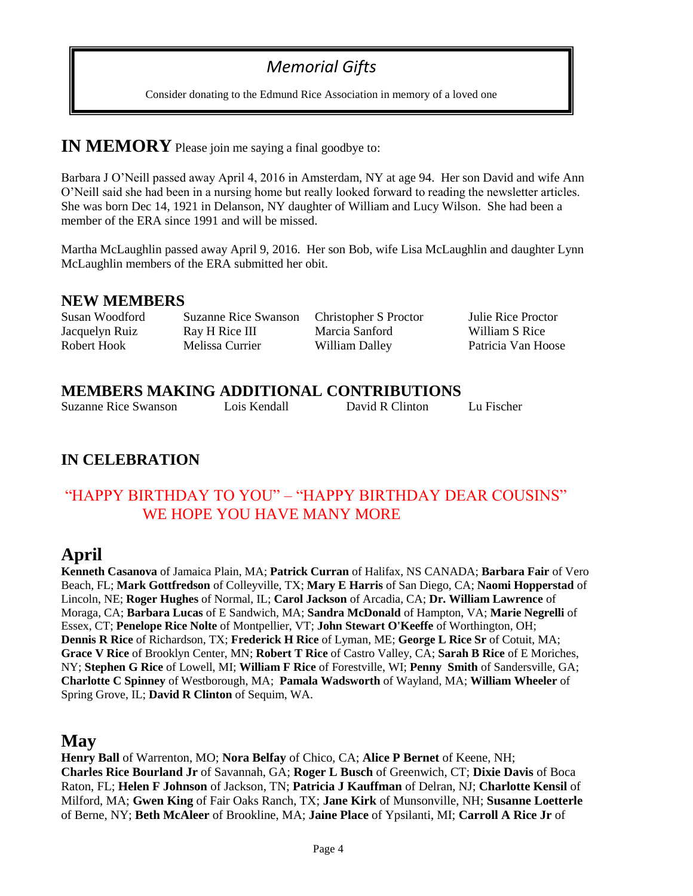# *Memorial Gifts*

Consider donating to the Edmund Rice Association in memory of a loved one

### **IN MEMORY** Please join me saying a final goodbye to:

Barbara J O'Neill passed away April 4, 2016 in Amsterdam, NY at age 94. Her son David and wife Ann O'Neill said she had been in a nursing home but really looked forward to reading the newsletter articles. She was born Dec 14, 1921 in Delanson, NY daughter of William and Lucy Wilson. She had been a member of the ERA since 1991 and will be missed.

Martha McLaughlin passed away April 9, 2016. Her son Bob, wife Lisa McLaughlin and daughter Lynn McLaughlin members of the ERA submitted her obit.

#### **NEW MEMBERS**

Susan Woodford Suzanne Rice Swanson Christopher S Proctor Julie Rice Proctor Jacquelyn Ruiz Ray H Rice III Marcia Sanford William S Rice

Robert Hook Melissa Currier William Dalley Patricia Van Hoose

#### **MEMBERS MAKING ADDITIONAL CONTRIBUTIONS**

Suzanne Rice Swanson Lois Kendall David R Clinton Lu Fischer

### **IN CELEBRATION**

#### "HAPPY BIRTHDAY TO YOU" – "HAPPY BIRTHDAY DEAR COUSINS" WE HOPE YOU HAVE MANY MORE

## **April**

**Kenneth Casanova** of Jamaica Plain, MA; **Patrick Curran** of Halifax, NS CANADA; **Barbara Fair** of Vero Beach, FL; **Mark Gottfredson** of Colleyville, TX; **Mary E Harris** of San Diego, CA; **Naomi Hopperstad** of Lincoln, NE; **Roger Hughes** of Normal, IL; **Carol Jackson** of Arcadia, CA; **Dr. William Lawrence** of Moraga, CA; **Barbara Lucas** of E Sandwich, MA; **Sandra McDonald** of Hampton, VA; **Marie Negrelli** of Essex, CT; **Penelope Rice Nolte** of Montpellier, VT; **John Stewart O'Keeffe** of Worthington, OH; **Dennis R Rice** of Richardson, TX; **Frederick H Rice** of Lyman, ME; **George L Rice Sr** of Cotuit, MA; **Grace V Rice** of Brooklyn Center, MN; **Robert T Rice** of Castro Valley, CA; **Sarah B Rice** of E Moriches, NY; **Stephen G Rice** of Lowell, MI; **William F Rice** of Forestville, WI; **Penny Smith** of Sandersville, GA; **Charlotte C Spinney** of Westborough, MA; **Pamala Wadsworth** of Wayland, MA; **William Wheeler** of Spring Grove, IL; **David R Clinton** of Sequim, WA.

## **May**

**Henry Ball** of Warrenton, MO; **Nora Belfay** of Chico, CA; **Alice P Bernet** of Keene, NH; **Charles Rice Bourland Jr** of Savannah, GA; **Roger L Busch** of Greenwich, CT; **Dixie Davis** of Boca Raton, FL; **Helen F Johnson** of Jackson, TN; **Patricia J Kauffman** of Delran, NJ; **Charlotte Kensil** of Milford, MA; **Gwen King** of Fair Oaks Ranch, TX; **Jane Kirk** of Munsonville, NH; **Susanne Loetterle** of Berne, NY; **Beth McAleer** of Brookline, MA; **Jaine Place** of Ypsilanti, MI; **Carroll A Rice Jr** of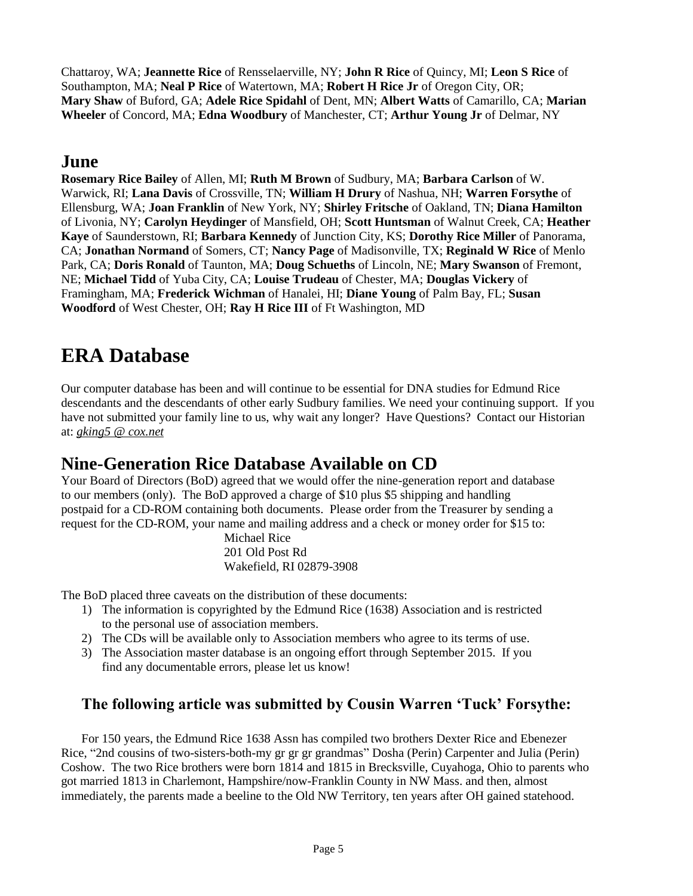Chattaroy, WA; **Jeannette Rice** of Rensselaerville, NY; **John R Rice** of Quincy, MI; **Leon S Rice** of Southampton, MA; **Neal P Rice** of Watertown, MA; **Robert H Rice Jr** of Oregon City, OR; **Mary Shaw** of Buford, GA; **Adele Rice Spidahl** of Dent, MN; **Albert Watts** of Camarillo, CA; **Marian Wheeler** of Concord, MA; **Edna Woodbury** of Manchester, CT; **Arthur Young Jr** of Delmar, NY

# **June**

**Rosemary Rice Bailey** of Allen, MI; **Ruth M Brown** of Sudbury, MA; **Barbara Carlson** of W. Warwick, RI; **Lana Davis** of Crossville, TN; **William H Drury** of Nashua, NH; **Warren Forsythe** of Ellensburg, WA; **Joan Franklin** of New York, NY; **Shirley Fritsche** of Oakland, TN; **Diana Hamilton**  of Livonia, NY; **Carolyn Heydinger** of Mansfield, OH; **Scott Huntsman** of Walnut Creek, CA; **Heather Kaye** of Saunderstown, RI; **Barbara Kennedy** of Junction City, KS; **Dorothy Rice Miller** of Panorama, CA; **Jonathan Normand** of Somers, CT; **Nancy Page** of Madisonville, TX; **Reginald W Rice** of Menlo Park, CA; **Doris Ronald** of Taunton, MA; **Doug Schueths** of Lincoln, NE; **Mary Swanson** of Fremont, NE; **Michael Tidd** of Yuba City, CA; **Louise Trudeau** of Chester, MA; **Douglas Vickery** of Framingham, MA; **Frederick Wichman** of Hanalei, HI; **Diane Young** of Palm Bay, FL; **Susan Woodford** of West Chester, OH; **Ray H Rice III** of Ft Washington, MD

# **ERA Database**

Our computer database has been and will continue to be essential for DNA studies for Edmund Rice descendants and the descendants of other early Sudbury families. We need your continuing support. If you have not submitted your family line to us, why wait any longer? Have Questions? Contact our Historian at: *[gking5 @ cox.net](mailto:gking5@cox.net)*

## **Nine-Generation Rice Database Available on CD**

Your Board of Directors (BoD) agreed that we would offer the nine-generation report and database to our members (only). The BoD approved a charge of \$10 plus \$5 shipping and handling postpaid for a CD-ROM containing both documents. Please order from the Treasurer by sending a request for the CD-ROM, your name and mailing address and a check or money order for \$15 to:

Michael Rice 201 Old Post Rd Wakefield, RI 02879-3908

The BoD placed three caveats on the distribution of these documents:

- 1) The information is copyrighted by the Edmund Rice (1638) Association and is restricted to the personal use of association members.
- 2) The CDs will be available only to Association members who agree to its terms of use.
- 3) The Association master database is an ongoing effort through September 2015. If you find any documentable errors, please let us know!

## **The following article was submitted by Cousin Warren 'Tuck' Forsythe:**

For 150 years, the Edmund Rice 1638 Assn has compiled two brothers Dexter Rice and Ebenezer Rice, "2nd cousins of two-sisters-both-my gr gr gr grandmas" Dosha (Perin) Carpenter and Julia (Perin) Coshow. The two Rice brothers were born 1814 and 1815 in Brecksville, Cuyahoga, Ohio to parents who got married 1813 in Charlemont, Hampshire/now-Franklin County in NW Mass. and then, almost immediately, the parents made a beeline to the Old NW Territory, ten years after OH gained statehood.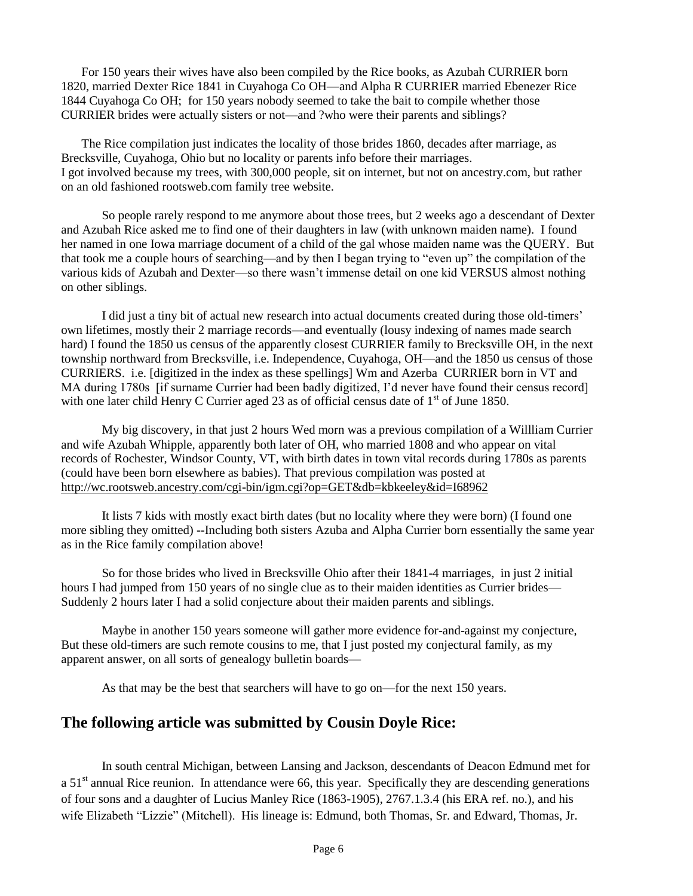For 150 years their wives have also been compiled by the Rice books, as Azubah CURRIER born 1820, married Dexter Rice 1841 in Cuyahoga Co OH—and Alpha R CURRIER married Ebenezer Rice 1844 Cuyahoga Co OH; for 150 years nobody seemed to take the bait to compile whether those CURRIER brides were actually sisters or not—and ?who were their parents and siblings?

The Rice compilation just indicates the locality of those brides 1860, decades after marriage, as Brecksville, Cuyahoga, Ohio but no locality or parents info before their marriages. I got involved because my trees, with 300,000 people, sit on internet, but not on ancestry.com, but rather on an old fashioned rootsweb.com family tree website.

So people rarely respond to me anymore about those trees, but 2 weeks ago a descendant of Dexter and Azubah Rice asked me to find one of their daughters in law (with unknown maiden name). I found her named in one Iowa marriage document of a child of the gal whose maiden name was the QUERY. But that took me a couple hours of searching—and by then I began trying to "even up" the compilation of the various kids of Azubah and Dexter—so there wasn't immense detail on one kid VERSUS almost nothing on other siblings.

I did just a tiny bit of actual new research into actual documents created during those old-timers' own lifetimes, mostly their 2 marriage records—and eventually (lousy indexing of names made search hard) I found the 1850 us census of the apparently closest CURRIER family to Brecksville OH, in the next township northward from Brecksville, i.e. Independence, Cuyahoga, OH—and the 1850 us census of those CURRIERS. i.e. [digitized in the index as these spellings] Wm and Azerba CURRIER born in VT and MA during 1780s [if surname Currier had been badly digitized, I'd never have found their census record] with one later child Henry C Currier aged 23 as of official census date of  $1<sup>st</sup>$  of June 1850.

My big discovery, in that just 2 hours Wed morn was a previous compilation of a Willliam Currier and wife Azubah Whipple, apparently both later of OH, who married 1808 and who appear on vital records of Rochester, Windsor County, VT, with birth dates in town vital records during 1780s as parents (could have been born elsewhere as babies). That previous compilation was posted at <http://wc.rootsweb.ancestry.com/cgi-bin/igm.cgi?op=GET&db=kbkeeley&id=I68962>

It lists 7 kids with mostly exact birth dates (but no locality where they were born) (I found one more sibling they omitted) --Including both sisters Azuba and Alpha Currier born essentially the same year as in the Rice family compilation above!

So for those brides who lived in Brecksville Ohio after their 1841-4 marriages, in just 2 initial hours I had jumped from 150 years of no single clue as to their maiden identities as Currier brides— Suddenly 2 hours later I had a solid conjecture about their maiden parents and siblings.

Maybe in another 150 years someone will gather more evidence for-and-against my conjecture, But these old-timers are such remote cousins to me, that I just posted my conjectural family, as my apparent answer, on all sorts of genealogy bulletin boards—

As that may be the best that searchers will have to go on—for the next 150 years.

#### **The following article was submitted by Cousin Doyle Rice:**

In south central Michigan, between Lansing and Jackson, descendants of Deacon Edmund met for a  $51<sup>st</sup>$  annual Rice reunion. In attendance were 66, this year. Specifically they are descending generations of four sons and a daughter of Lucius Manley Rice (1863-1905), 2767.1.3.4 (his ERA ref. no.), and his wife Elizabeth "Lizzie" (Mitchell). His lineage is: Edmund, both Thomas, Sr. and Edward, Thomas, Jr.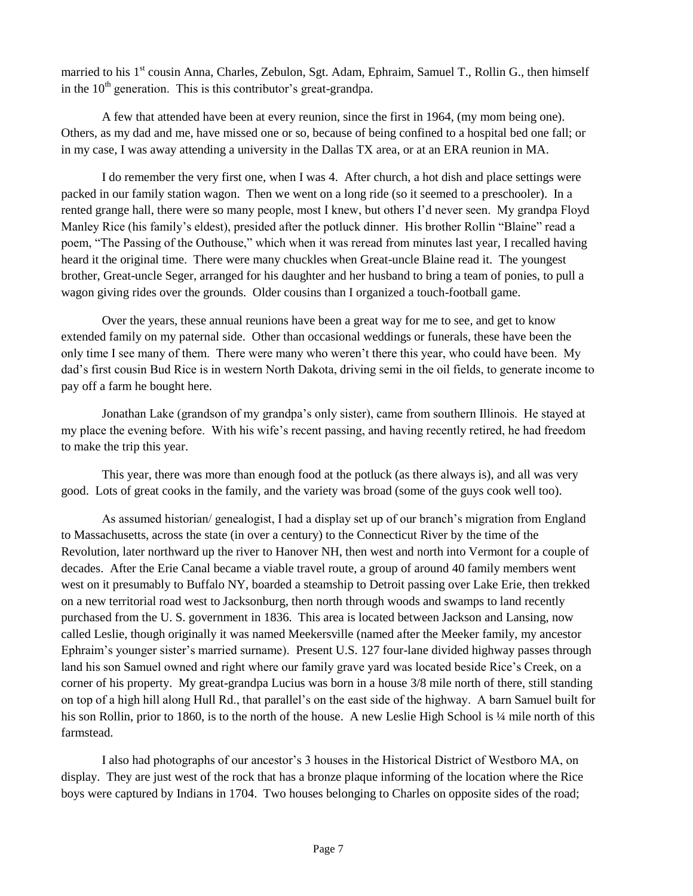married to his 1<sup>st</sup> cousin Anna, Charles, Zebulon, Sgt. Adam, Ephraim, Samuel T., Rollin G., then himself in the  $10<sup>th</sup>$  generation. This is this contributor's great-grandpa.

A few that attended have been at every reunion, since the first in 1964, (my mom being one). Others, as my dad and me, have missed one or so, because of being confined to a hospital bed one fall; or in my case, I was away attending a university in the Dallas TX area, or at an ERA reunion in MA.

I do remember the very first one, when I was 4. After church, a hot dish and place settings were packed in our family station wagon. Then we went on a long ride (so it seemed to a preschooler). In a rented grange hall, there were so many people, most I knew, but others I'd never seen. My grandpa Floyd Manley Rice (his family's eldest), presided after the potluck dinner. His brother Rollin "Blaine" read a poem, "The Passing of the Outhouse," which when it was reread from minutes last year, I recalled having heard it the original time. There were many chuckles when Great-uncle Blaine read it. The youngest brother, Great-uncle Seger, arranged for his daughter and her husband to bring a team of ponies, to pull a wagon giving rides over the grounds. Older cousins than I organized a touch-football game.

Over the years, these annual reunions have been a great way for me to see, and get to know extended family on my paternal side. Other than occasional weddings or funerals, these have been the only time I see many of them. There were many who weren't there this year, who could have been. My dad's first cousin Bud Rice is in western North Dakota, driving semi in the oil fields, to generate income to pay off a farm he bought here.

Jonathan Lake (grandson of my grandpa's only sister), came from southern Illinois. He stayed at my place the evening before. With his wife's recent passing, and having recently retired, he had freedom to make the trip this year.

This year, there was more than enough food at the potluck (as there always is), and all was very good. Lots of great cooks in the family, and the variety was broad (some of the guys cook well too).

As assumed historian/ genealogist, I had a display set up of our branch's migration from England to Massachusetts, across the state (in over a century) to the Connecticut River by the time of the Revolution, later northward up the river to Hanover NH, then west and north into Vermont for a couple of decades. After the Erie Canal became a viable travel route, a group of around 40 family members went west on it presumably to Buffalo NY, boarded a steamship to Detroit passing over Lake Erie, then trekked on a new territorial road west to Jacksonburg, then north through woods and swamps to land recently purchased from the U. S. government in 1836. This area is located between Jackson and Lansing, now called Leslie, though originally it was named Meekersville (named after the Meeker family, my ancestor Ephraim's younger sister's married surname). Present U.S. 127 four-lane divided highway passes through land his son Samuel owned and right where our family grave yard was located beside Rice's Creek, on a corner of his property. My great-grandpa Lucius was born in a house 3/8 mile north of there, still standing on top of a high hill along Hull Rd., that parallel's on the east side of the highway. A barn Samuel built for his son Rollin, prior to 1860, is to the north of the house. A new Leslie High School is  $\frac{1}{4}$  mile north of this farmstead.

I also had photographs of our ancestor's 3 houses in the Historical District of Westboro MA, on display. They are just west of the rock that has a bronze plaque informing of the location where the Rice boys were captured by Indians in 1704. Two houses belonging to Charles on opposite sides of the road;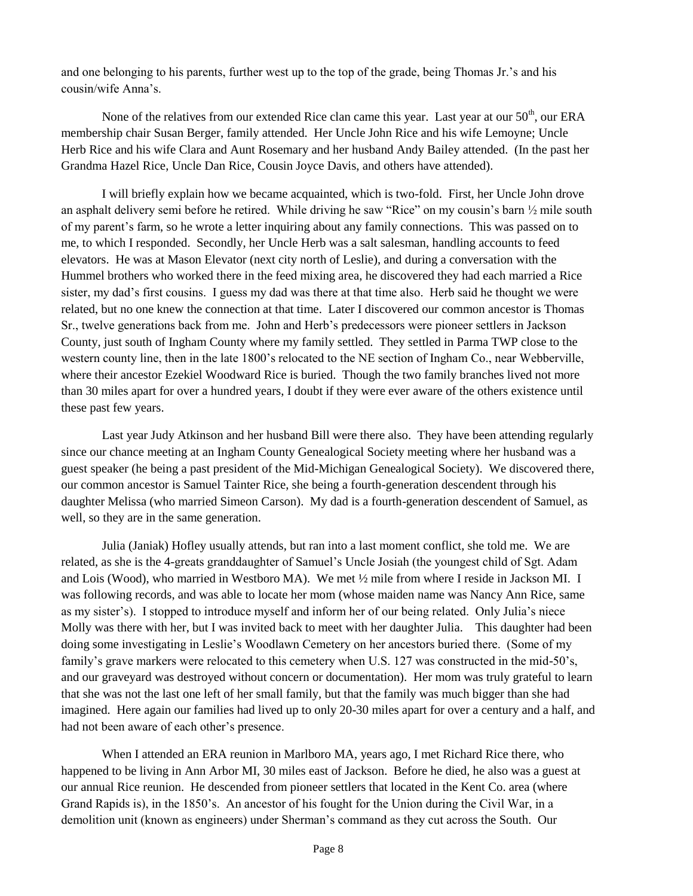and one belonging to his parents, further west up to the top of the grade, being Thomas Jr.'s and his cousin/wife Anna's.

None of the relatives from our extended Rice clan came this year. Last year at our  $50<sup>th</sup>$ , our ERA membership chair Susan Berger, family attended. Her Uncle John Rice and his wife Lemoyne; Uncle Herb Rice and his wife Clara and Aunt Rosemary and her husband Andy Bailey attended. (In the past her Grandma Hazel Rice, Uncle Dan Rice, Cousin Joyce Davis, and others have attended).

I will briefly explain how we became acquainted, which is two-fold. First, her Uncle John drove an asphalt delivery semi before he retired. While driving he saw "Rice" on my cousin's barn ½ mile south of my parent's farm, so he wrote a letter inquiring about any family connections. This was passed on to me, to which I responded. Secondly, her Uncle Herb was a salt salesman, handling accounts to feed elevators. He was at Mason Elevator (next city north of Leslie), and during a conversation with the Hummel brothers who worked there in the feed mixing area, he discovered they had each married a Rice sister, my dad's first cousins. I guess my dad was there at that time also. Herb said he thought we were related, but no one knew the connection at that time. Later I discovered our common ancestor is Thomas Sr., twelve generations back from me. John and Herb's predecessors were pioneer settlers in Jackson County, just south of Ingham County where my family settled. They settled in Parma TWP close to the western county line, then in the late 1800's relocated to the NE section of Ingham Co., near Webberville, where their ancestor Ezekiel Woodward Rice is buried. Though the two family branches lived not more than 30 miles apart for over a hundred years, I doubt if they were ever aware of the others existence until these past few years.

Last year Judy Atkinson and her husband Bill were there also. They have been attending regularly since our chance meeting at an Ingham County Genealogical Society meeting where her husband was a guest speaker (he being a past president of the Mid-Michigan Genealogical Society). We discovered there, our common ancestor is Samuel Tainter Rice, she being a fourth-generation descendent through his daughter Melissa (who married Simeon Carson). My dad is a fourth-generation descendent of Samuel, as well, so they are in the same generation.

Julia (Janiak) Hofley usually attends, but ran into a last moment conflict, she told me. We are related, as she is the 4-greats granddaughter of Samuel's Uncle Josiah (the youngest child of Sgt. Adam and Lois (Wood), who married in Westboro MA). We met ½ mile from where I reside in Jackson MI. I was following records, and was able to locate her mom (whose maiden name was Nancy Ann Rice, same as my sister's). I stopped to introduce myself and inform her of our being related. Only Julia's niece Molly was there with her, but I was invited back to meet with her daughter Julia. This daughter had been doing some investigating in Leslie's Woodlawn Cemetery on her ancestors buried there. (Some of my family's grave markers were relocated to this cemetery when U.S. 127 was constructed in the mid-50's, and our graveyard was destroyed without concern or documentation). Her mom was truly grateful to learn that she was not the last one left of her small family, but that the family was much bigger than she had imagined. Here again our families had lived up to only 20-30 miles apart for over a century and a half, and had not been aware of each other's presence.

When I attended an ERA reunion in Marlboro MA, years ago, I met Richard Rice there, who happened to be living in Ann Arbor MI, 30 miles east of Jackson. Before he died, he also was a guest at our annual Rice reunion. He descended from pioneer settlers that located in the Kent Co. area (where Grand Rapids is), in the 1850's. An ancestor of his fought for the Union during the Civil War, in a demolition unit (known as engineers) under Sherman's command as they cut across the South. Our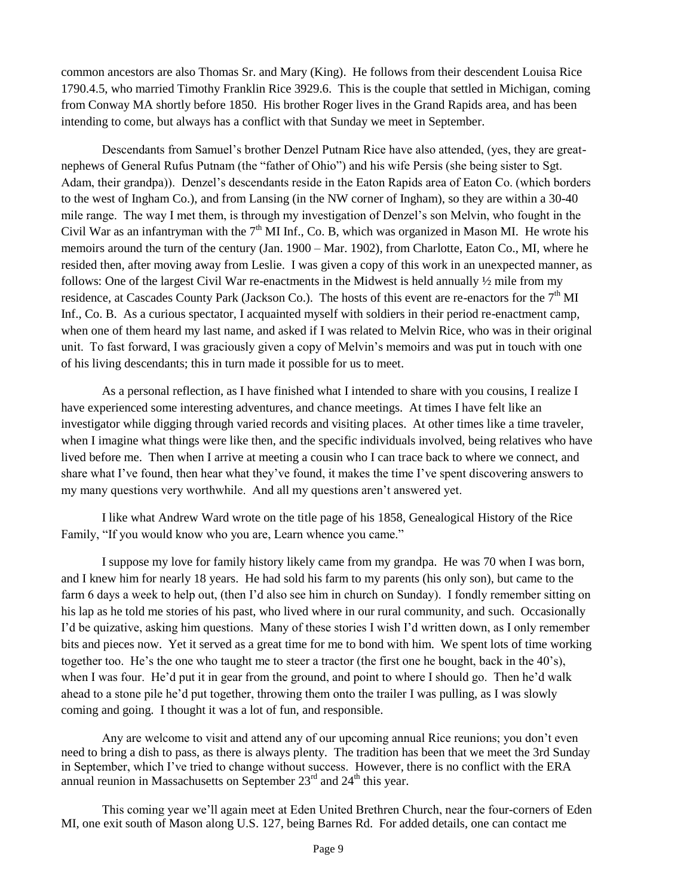common ancestors are also Thomas Sr. and Mary (King). He follows from their descendent Louisa Rice 1790.4.5, who married Timothy Franklin Rice 3929.6. This is the couple that settled in Michigan, coming from Conway MA shortly before 1850. His brother Roger lives in the Grand Rapids area, and has been intending to come, but always has a conflict with that Sunday we meet in September.

Descendants from Samuel's brother Denzel Putnam Rice have also attended, (yes, they are greatnephews of General Rufus Putnam (the "father of Ohio") and his wife Persis (she being sister to Sgt. Adam, their grandpa)). Denzel's descendants reside in the Eaton Rapids area of Eaton Co. (which borders to the west of Ingham Co.), and from Lansing (in the NW corner of Ingham), so they are within a 30-40 mile range. The way I met them, is through my investigation of Denzel's son Melvin, who fought in the Civil War as an infantryman with the  $7<sup>th</sup>$  MI Inf., Co. B, which was organized in Mason MI. He wrote his memoirs around the turn of the century (Jan. 1900 – Mar. 1902), from Charlotte, Eaton Co., MI, where he resided then, after moving away from Leslie. I was given a copy of this work in an unexpected manner, as follows: One of the largest Civil War re-enactments in the Midwest is held annually ½ mile from my residence, at Cascades County Park (Jackson Co.). The hosts of this event are re-enactors for the 7<sup>th</sup> MI Inf., Co. B. As a curious spectator, I acquainted myself with soldiers in their period re-enactment camp, when one of them heard my last name, and asked if I was related to Melvin Rice, who was in their original unit. To fast forward, I was graciously given a copy of Melvin's memoirs and was put in touch with one of his living descendants; this in turn made it possible for us to meet.

As a personal reflection, as I have finished what I intended to share with you cousins, I realize I have experienced some interesting adventures, and chance meetings. At times I have felt like an investigator while digging through varied records and visiting places. At other times like a time traveler, when I imagine what things were like then, and the specific individuals involved, being relatives who have lived before me. Then when I arrive at meeting a cousin who I can trace back to where we connect, and share what I've found, then hear what they've found, it makes the time I've spent discovering answers to my many questions very worthwhile. And all my questions aren't answered yet.

I like what Andrew Ward wrote on the title page of his 1858, Genealogical History of the Rice Family, "If you would know who you are, Learn whence you came."

I suppose my love for family history likely came from my grandpa. He was 70 when I was born, and I knew him for nearly 18 years. He had sold his farm to my parents (his only son), but came to the farm 6 days a week to help out, (then I'd also see him in church on Sunday). I fondly remember sitting on his lap as he told me stories of his past, who lived where in our rural community, and such. Occasionally I'd be quizative, asking him questions. Many of these stories I wish I'd written down, as I only remember bits and pieces now. Yet it served as a great time for me to bond with him. We spent lots of time working together too. He's the one who taught me to steer a tractor (the first one he bought, back in the 40's), when I was four. He'd put it in gear from the ground, and point to where I should go. Then he'd walk ahead to a stone pile he'd put together, throwing them onto the trailer I was pulling, as I was slowly coming and going. I thought it was a lot of fun, and responsible.

Any are welcome to visit and attend any of our upcoming annual Rice reunions; you don't even need to bring a dish to pass, as there is always plenty. The tradition has been that we meet the 3rd Sunday in September, which I've tried to change without success. However, there is no conflict with the ERA annual reunion in Massachusetts on September  $23<sup>rd</sup>$  and  $24<sup>th</sup>$  this year.

This coming year we'll again meet at Eden United Brethren Church, near the four-corners of Eden MI, one exit south of Mason along U.S. 127, being Barnes Rd. For added details, one can contact me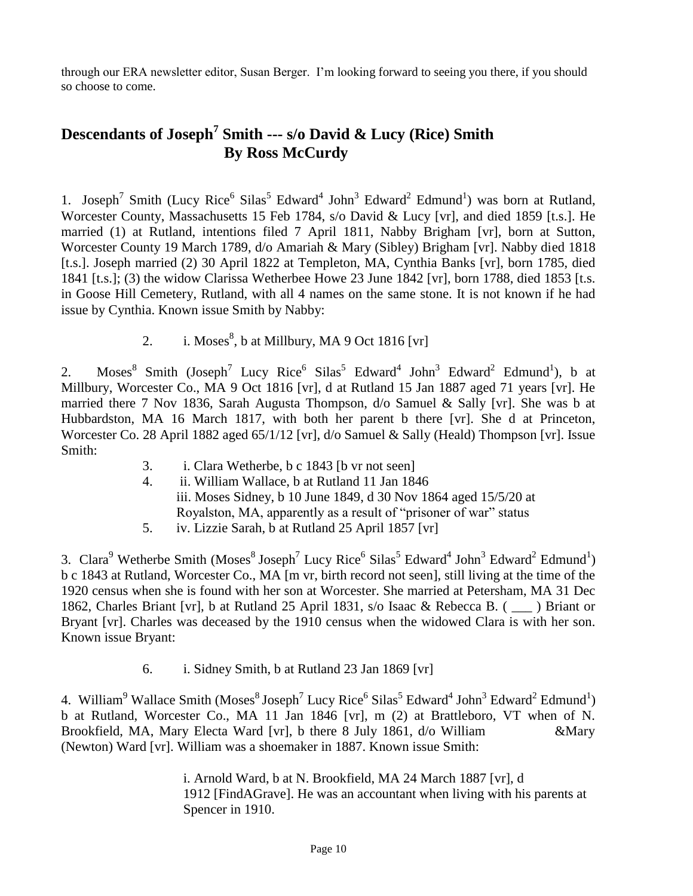through our ERA newsletter editor, Susan Berger. I'm looking forward to seeing you there, if you should so choose to come.

### **Descendants of Joseph<sup>7</sup> Smith --- s/o David & Lucy (Rice) Smith By Ross McCurdy**

1. Joseph<sup>7</sup> Smith (Lucy Rice<sup>6</sup> Silas<sup>5</sup> Edward<sup>4</sup> John<sup>3</sup> Edward<sup>2</sup> Edmund<sup>1</sup>) was born at Rutland, Worcester County, Massachusetts 15 Feb 1784, s/o David & Lucy [vr], and died 1859 [t.s.]. He married (1) at Rutland, intentions filed 7 April 1811, Nabby Brigham [vr], born at Sutton, Worcester County 19 March 1789, d/o Amariah & Mary (Sibley) Brigham [vr]. Nabby died 1818 [t.s.]. Joseph married (2) 30 April 1822 at Templeton, MA, Cynthia Banks [vr], born 1785, died 1841 [t.s.]; (3) the widow Clarissa Wetherbee Howe 23 June 1842 [vr], born 1788, died 1853 [t.s. in Goose Hill Cemetery, Rutland, with all 4 names on the same stone. It is not known if he had issue by Cynthia. Known issue Smith by Nabby:

2. i. Moses $^{8}$ , b at Millbury, MA 9 Oct 1816 [vr]

2. Moses<sup>8</sup> Smith (Joseph<sup>7</sup> Lucy Rice<sup>6</sup> Silas<sup>5</sup> Edward<sup>4</sup> John<sup>3</sup> Edward<sup>2</sup> Edmund<sup>1</sup>), b at Millbury, Worcester Co., MA 9 Oct 1816 [vr], d at Rutland 15 Jan 1887 aged 71 years [vr]. He married there 7 Nov 1836, Sarah Augusta Thompson, d/o Samuel & Sally [vr]. She was b at Hubbardston, MA 16 March 1817, with both her parent b there [vr]. She d at Princeton, Worcester Co. 28 April 1882 aged 65/1/12 [vr], d/o Samuel & Sally (Heald) Thompson [vr]. Issue Smith:

- 3. i. Clara Wetherbe, b c 1843 [b vr not seen]
- 4. ii. William Wallace, b at Rutland 11 Jan 1846 iii. Moses Sidney, b 10 June 1849, d 30 Nov 1864 aged 15/5/20 at Royalston, MA, apparently as a result of "prisoner of war" status
- 5. iv. Lizzie Sarah, b at Rutland 25 April 1857 [vr]

3. Clara<sup>9</sup> Wetherbe Smith (Moses<sup>8</sup> Joseph<sup>7</sup> Lucy Rice<sup>6</sup> Silas<sup>5</sup> Edward<sup>4</sup> John<sup>3</sup> Edward<sup>2</sup> Edmund<sup>1</sup>) b c 1843 at Rutland, Worcester Co., MA [m vr, birth record not seen], still living at the time of the 1920 census when she is found with her son at Worcester. She married at Petersham, MA 31 Dec 1862, Charles Briant [vr], b at Rutland 25 April 1831, s/o Isaac & Rebecca B. ( \_\_\_ ) Briant or Bryant [vr]. Charles was deceased by the 1910 census when the widowed Clara is with her son. Known issue Bryant:

6. i. Sidney Smith, b at Rutland 23 Jan 1869 [vr]

4. William<sup>9</sup> Wallace Smith (Moses<sup>8</sup> Joseph<sup>7</sup> Lucy Rice<sup>6</sup> Silas<sup>5</sup> Edward<sup>4</sup> John<sup>3</sup> Edward<sup>2</sup> Edmund<sup>1</sup>) b at Rutland, Worcester Co., MA 11 Jan 1846 [vr], m (2) at Brattleboro, VT when of N. Brookfield, MA, Mary Electa Ward [vr], b there 8 July 1861, d/o William &Mary (Newton) Ward [vr]. William was a shoemaker in 1887. Known issue Smith:

> i. Arnold Ward, b at N. Brookfield, MA 24 March 1887 [vr], d 1912 [FindAGrave]. He was an accountant when living with his parents at Spencer in 1910.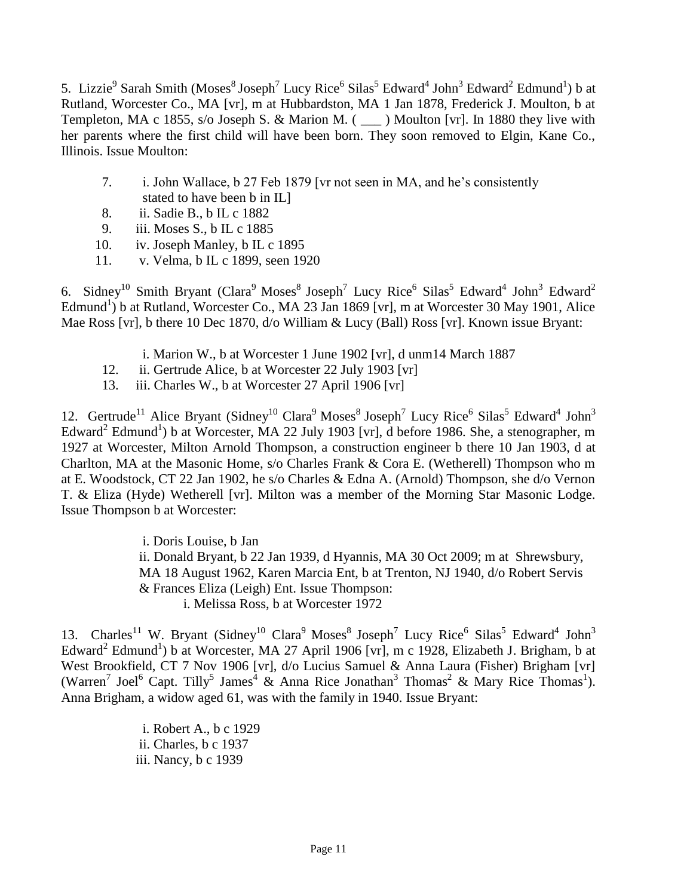5. Lizzie<sup>9</sup> Sarah Smith (Moses<sup>8</sup> Joseph<sup>7</sup> Lucy Rice<sup>6</sup> Silas<sup>5</sup> Edward<sup>4</sup> John<sup>3</sup> Edward<sup>2</sup> Edmund<sup>1</sup>) b at Rutland, Worcester Co., MA [vr], m at Hubbardston, MA 1 Jan 1878, Frederick J. Moulton, b at Templeton, MA c 1855, s/o Joseph S. & Marion M. ( \_\_\_ ) Moulton [vr]. In 1880 they live with her parents where the first child will have been born. They soon removed to Elgin, Kane Co., Illinois. Issue Moulton:

- 7. i. John Wallace, b 27 Feb 1879 [vr not seen in MA, and he's consistently stated to have been b in IL]
- 8. ii. Sadie B., b IL c 1882
- 9. iii. Moses S., b IL c 1885
- 10. iv. Joseph Manley, b IL c 1895
- 11. v. Velma, b IL c 1899, seen 1920

6. Sidney<sup>10</sup> Smith Bryant (Clara<sup>9</sup> Moses<sup>8</sup> Joseph<sup>7</sup> Lucy Rice<sup>6</sup> Silas<sup>5</sup> Edward<sup>4</sup> John<sup>3</sup> Edward<sup>2</sup> Edmund<sup>1</sup>) b at Rutland, Worcester Co., MA 23 Jan 1869 [vr], m at Worcester 30 May 1901, Alice Mae Ross [vr], b there 10 Dec 1870, d/o William & Lucy (Ball) Ross [vr]. Known issue Bryant:

- i. Marion W., b at Worcester 1 June 1902 [vr], d unm14 March 1887
- 12. ii. Gertrude Alice, b at Worcester 22 July 1903 [vr]
- 13. iii. Charles W., b at Worcester 27 April 1906 [vr]

12. Gertrude<sup>11</sup> Alice Bryant (Sidney<sup>10</sup> Clara<sup>9</sup> Moses<sup>8</sup> Joseph<sup>7</sup> Lucy Rice<sup>6</sup> Silas<sup>5</sup> Edward<sup>4</sup> John<sup>3</sup> Edward<sup>2</sup> Edmund<sup>1</sup>) b at Worcester, MA 22 July 1903 [vr], d before 1986. She, a stenographer, m 1927 at Worcester, Milton Arnold Thompson, a construction engineer b there 10 Jan 1903, d at Charlton, MA at the Masonic Home, s/o Charles Frank & Cora E. (Wetherell) Thompson who m at E. Woodstock, CT 22 Jan 1902, he s/o Charles & Edna A. (Arnold) Thompson, she d/o Vernon T. & Eliza (Hyde) Wetherell [vr]. Milton was a member of the Morning Star Masonic Lodge. Issue Thompson b at Worcester:

i. Doris Louise, b Jan

ii. Donald Bryant, b 22 Jan 1939, d Hyannis, MA 30 Oct 2009; m at Shrewsbury, MA 18 August 1962, Karen Marcia Ent, b at Trenton, NJ 1940, d/o Robert Servis & Frances Eliza (Leigh) Ent. Issue Thompson:

i. Melissa Ross, b at Worcester 1972

13. Charles<sup>11</sup> W. Bryant (Sidney<sup>10</sup> Clara<sup>9</sup> Moses<sup>8</sup> Joseph<sup>7</sup> Lucy Rice<sup>6</sup> Silas<sup>5</sup> Edward<sup>4</sup> John<sup>3</sup> Edward<sup>2</sup> Edmund<sup>1</sup>) b at Worcester, MA 27 April 1906 [vr], m c 1928, Elizabeth J. Brigham, b at West Brookfield, CT 7 Nov 1906 [vr], d/o Lucius Samuel & Anna Laura (Fisher) Brigham [vr] (Warren<sup>7</sup> Joel<sup>6</sup> Capt. Tilly<sup>5</sup> James<sup>4</sup> & Anna Rice Jonathan<sup>3</sup> Thomas<sup>2</sup> & Mary Rice Thomas<sup>1</sup>). Anna Brigham, a widow aged 61, was with the family in 1940. Issue Bryant:

> i. Robert A., b c 1929 ii. Charles, b c 1937 iii. Nancy, b c 1939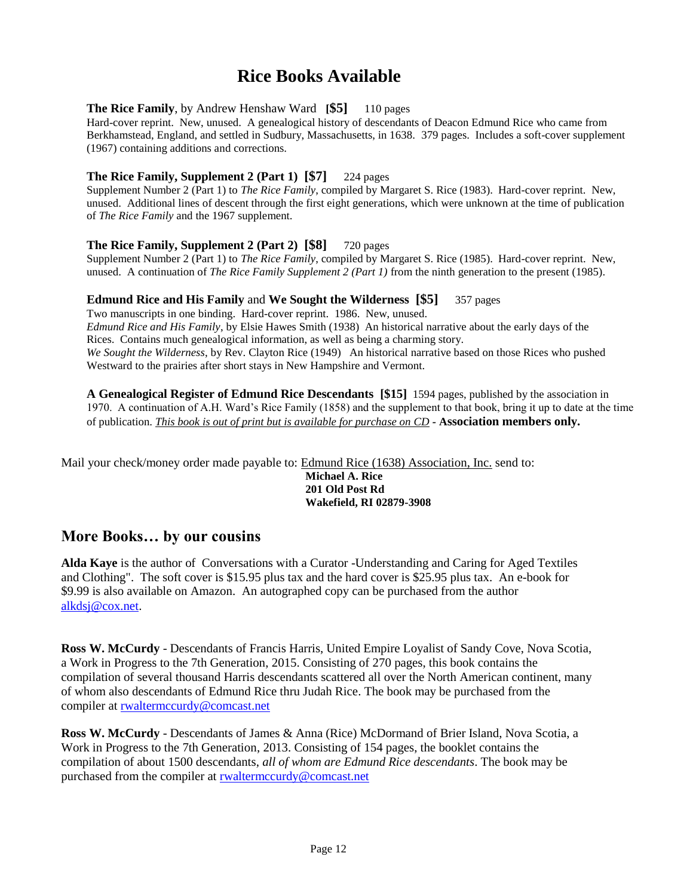# **Rice Books Available**

#### **The Rice Family**, by Andrew Henshaw Ward **[\$5]** 110 pages

Hard-cover reprint. New, unused. A genealogical history of descendants of Deacon Edmund Rice who came from Berkhamstead, England, and settled in Sudbury, Massachusetts, in 1638. 379 pages. Includes a soft-cover supplement (1967) containing additions and corrections.

#### **The Rice Family, Supplement 2 (Part 1) [\$7]** 224 pages

Supplement Number 2 (Part 1) to *The Rice Family*, compiled by Margaret S. Rice (1983). Hard-cover reprint. New, unused. Additional lines of descent through the first eight generations, which were unknown at the time of publication of *The Rice Family* and the 1967 supplement.

#### **The Rice Family, Supplement 2 (Part 2) [\$8]** 720 pages

Supplement Number 2 (Part 1) to *The Rice Family*, compiled by Margaret S. Rice (1985). Hard-cover reprint. New, unused. A continuation of *The Rice Family Supplement 2 (Part 1)* from the ninth generation to the present (1985).

#### **Edmund Rice and His Family** and **We Sought the Wilderness [\$5]** 357 pages

Two manuscripts in one binding. Hard-cover reprint. 1986. New, unused. *Edmund Rice and His Family*, by Elsie Hawes Smith (1938) An historical narrative about the early days of the Rices. Contains much genealogical information, as well as being a charming story. *We Sought the Wilderness*, by Rev. Clayton Rice (1949) An historical narrative based on those Rices who pushed Westward to the prairies after short stays in New Hampshire and Vermont.

**A Genealogical Register of Edmund Rice Descendants [\$15]** 1594 pages, published by the association in 1970. A continuation of A.H. Ward's Rice Family (1858) and the supplement to that book, bring it up to date at the time of publication. *This book is out of print but is available for purchase on CD -* **Association members only.**

Mail your check/money order made payable to: Edmund Rice (1638) Association, Inc. send to:

**Michael A. Rice 201 Old Post Rd Wakefield, RI 02879-3908**

#### **More Books… by our cousins**

**Alda Kaye** is the author of Conversations with a Curator -Understanding and Caring for Aged Textiles and Clothing". The soft cover is \$15.95 plus tax and the hard cover is \$25.95 plus tax. An e-book for \$9.99 is also available on Amazon. An autographed copy can be purchased from the author [alkdsj@cox.net.](mailto:alkdsj@cox.net)

**Ross W. McCurdy** - Descendants of Francis Harris, United Empire Loyalist of Sandy Cove, Nova Scotia, a Work in Progress to the 7th Generation, 2015. Consisting of 270 pages, this book contains the compilation of several thousand Harris descendants scattered all over the North American continent, many of whom also descendants of Edmund Rice thru Judah Rice. The book may be purchased from the compiler at [rwaltermccurdy@comcast.net](mailto:rwaltermccurdy@comcast.net)

**Ross W. McCurdy** - Descendants of James & Anna (Rice) McDormand of Brier Island, Nova Scotia, a Work in Progress to the 7th Generation, 2013. Consisting of 154 pages, the booklet contains the compilation of about 1500 descendants, *all of whom are Edmund Rice descendants*. The book may be purchased from the compiler at [rwaltermccurdy@comcast.net](mailto:rwaltermccurdy@comcast.net)